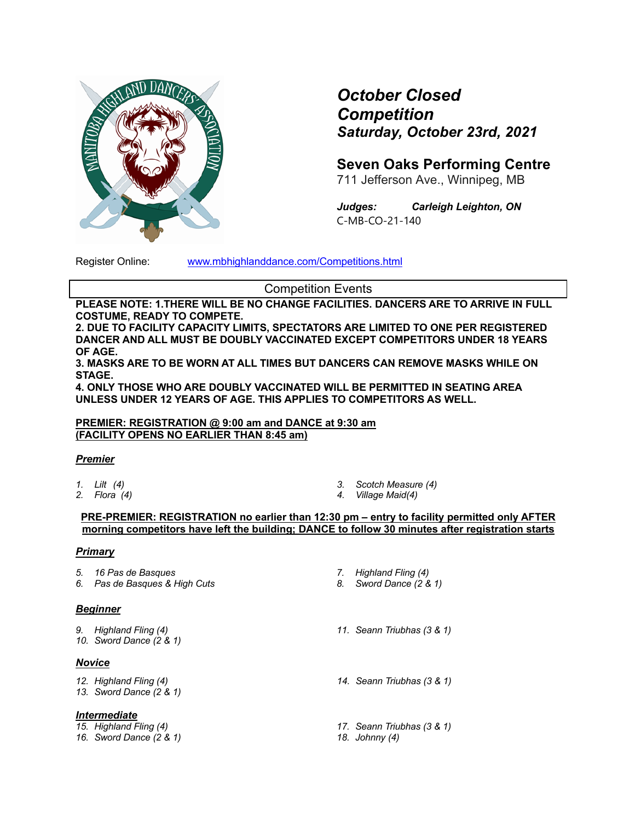

# *October Closed Competition Saturday, October 23rd, 2021*

**Seven Oaks Performing Centre**

711 Jefferson Ave., Winnipeg, MB

*Judges: Carleigh Leighton, ON* C-MB-CO-21-140

Register Online: www.mbhighlanddance.com/Competitions.html

Competition Events

**PLEASE NOTE: 1.THERE WILL BE NO CHANGE FACILITIES. DANCERS ARE TO ARRIVE IN FULL COSTUME, READY TO COMPETE.** 

**2. DUE TO FACILITY CAPACITY LIMITS, SPECTATORS ARE LIMITED TO ONE PER REGISTERED DANCER AND ALL MUST BE DOUBLY VACCINATED EXCEPT COMPETITORS UNDER 18 YEARS OF AGE.**

**3. MASKS ARE TO BE WORN AT ALL TIMES BUT DANCERS CAN REMOVE MASKS WHILE ON STAGE.** 

**4. ONLY THOSE WHO ARE DOUBLY VACCINATED WILL BE PERMITTED IN SEATING AREA UNLESS UNDER 12 YEARS OF AGE. THIS APPLIES TO COMPETITORS AS WELL.**

#### **PREMIER: REGISTRATION @ 9:00 am and DANCE at 9:30 am (FACILITY OPENS NO EARLIER THAN 8:45 am)**

# *Premier*

*1. Lilt (4) 2. Flora (4)*

- *3. Scotch Measure (4)*
- *4. Village Maid(4)*

#### **PRE-PREMIER: REGISTRATION no earlier than 12:30 pm – entry to facility permitted only AFTER morning competitors have left the building; DANCE to follow 30 minutes after registration starts**

#### *Primary*

- *5. 16 Pas de Basques*
- *6. Pas de Basques & High Cuts*

# *Beginner*

- *9. Highland Fling (4)*
- *10. Sword Dance (2 & 1)*

# *Novice*

- *12. Highland Fling (4)*
- *13. Sword Dance (2 & 1)*

# *Intermediate*

- *15. Highland Fling (4)*
- *16. Sword Dance (2 & 1)*
- *7. Highland Fling (4) 8. Sword Dance (2 & 1)*
- *11. Seann Triubhas (3 & 1)*
- *14. Seann Triubhas (3 & 1)*
- *17. Seann Triubhas (3 & 1)*
- *18. Johnny (4)*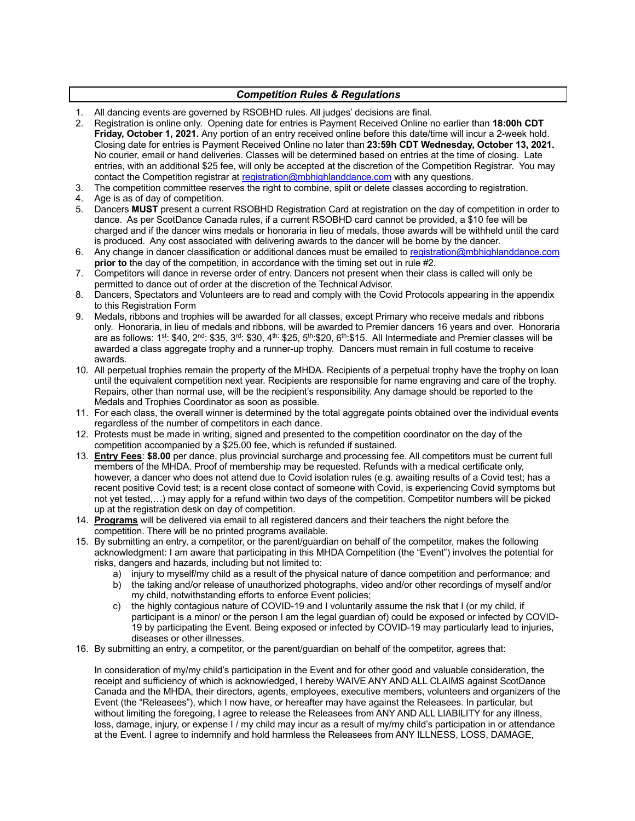#### *Competition Rules & Regulations*

- 1. All dancing events are governed by RSOBHD rules. All judges' decisions are final.
- 2. Registration is online only. Opening date for entries is Payment Received Online no earlier than **18:00h CDT Friday, October 1, 2021.** Any portion of an entry received online before this date/time will incur a 2-week hold. Closing date for entries is Payment Received Online no later than **23:59h CDT Wednesday, October 13, 2021.**  No courier, email or hand deliveries. Classes will be determined based on entries at the time of closing. Late entries, with an additional \$25 fee, will only be accepted at the discretion of the Competition Registrar. You may contact the Competition registrar at registration@mbhighlanddance.com with any questions.
- 3. The competition committee reserves the right to combine, split or delete classes according to registration.
- 4. Age is as of day of competition.
- 5. Dancers **MUST** present a current RSOBHD Registration Card at registration on the day of competition in order to dance. As per ScotDance Canada rules, if a current RSOBHD card cannot be provided, a \$10 fee will be charged and if the dancer wins medals or honoraria in lieu of medals, those awards will be withheld until the card is produced. Any cost associated with delivering awards to the dancer will be borne by the dancer.
- 6. Any change in dancer classification or additional dances must be emailed to registration@mbhighlanddance.com **prior to** the day of the competition, in accordance with the timing set out in rule #2.
- 7. Competitors will dance in reverse order of entry. Dancers not present when their class is called will only be permitted to dance out of order at the discretion of the Technical Advisor.
- 8. Dancers, Spectators and Volunteers are to read and comply with the Covid Protocols appearing in the appendix to this Registration Form
- 9. Medals, ribbons and trophies will be awarded for all classes, except Primary who receive medals and ribbons only. Honoraria, in lieu of medals and ribbons, will be awarded to Premier dancers 16 years and over. Honoraria are as follows: 1<sup>st</sup>: \$40, 2<sup>nd</sup>: \$35, 3<sup>rd</sup>: \$30, 4<sup>th:</sup> \$25, 5<sup>th</sup>:\$20, 6<sup>th</sup>:\$15. All Intermediate and Premier classes will be awarded a class aggregate trophy and a runner-up trophy. Dancers must remain in full costume to receive awards.
- 10. All perpetual trophies remain the property of the MHDA. Recipients of a perpetual trophy have the trophy on loan until the equivalent competition next year. Recipients are responsible for name engraving and care of the trophy. Repairs, other than normal use, will be the recipient's responsibility. Any damage should be reported to the Medals and Trophies Coordinator as soon as possible.
- 11. For each class, the overall winner is determined by the total aggregate points obtained over the individual events regardless of the number of competitors in each dance.
- 12. Protests must be made in writing, signed and presented to the competition coordinator on the day of the competition accompanied by a \$25.00 fee, which is refunded if sustained.
- 13. **Entry Fees**: **\$8.00** per dance, plus provincial surcharge and processing fee. All competitors must be current full members of the MHDA. Proof of membership may be requested. Refunds with a medical certificate only, however, a dancer who does not attend due to Covid isolation rules (e.g. awaiting results of a Covid test; has a recent positive Covid test; is a recent close contact of someone with Covid, is experiencing Covid symptoms but not yet tested,…) may apply for a refund within two days of the competition. Competitor numbers will be picked up at the registration desk on day of competition.
- 14. **Programs** will be delivered via email to all registered dancers and their teachers the night before the competition. There will be no printed programs available.
- 15. By submitting an entry, a competitor, or the parent/guardian on behalf of the competitor, makes the following acknowledgment: I am aware that participating in this MHDA Competition (the "Event") involves the potential for risks, dangers and hazards, including but not limited to:
	- a) injury to myself/my child as a result of the physical nature of dance competition and performance; and
	- b) the taking and/or release of unauthorized photographs, video and/or other recordings of myself and/or my child, notwithstanding efforts to enforce Event policies;
	- c) the highly contagious nature of COVID-19 and I voluntarily assume the risk that I (or my child, if participant is a minor/ or the person I am the legal guardian of) could be exposed or infected by COVID-19 by participating the Event. Being exposed or infected by COVID-19 may particularly lead to injuries, diseases or other illnesses.
- 16. By submitting an entry, a competitor, or the parent/guardian on behalf of the competitor, agrees that:

In consideration of my/my child's participation in the Event and for other good and valuable consideration, the receipt and sufficiency of which is acknowledged, I hereby WAIVE ANY AND ALL CLAIMS against ScotDance Canada and the MHDA, their directors, agents, employees, executive members, volunteers and organizers of the Event (the "Releasees"), which I now have, or hereafter may have against the Releasees. In particular, but without limiting the foregoing, I agree to release the Releasees from ANY AND ALL LIABILITY for any illness, loss, damage, injury, or expense I / my child may incur as a result of my/my child's participation in or attendance at the Event. I agree to indemnify and hold harmless the Releasees from ANY ILLNESS, LOSS, DAMAGE,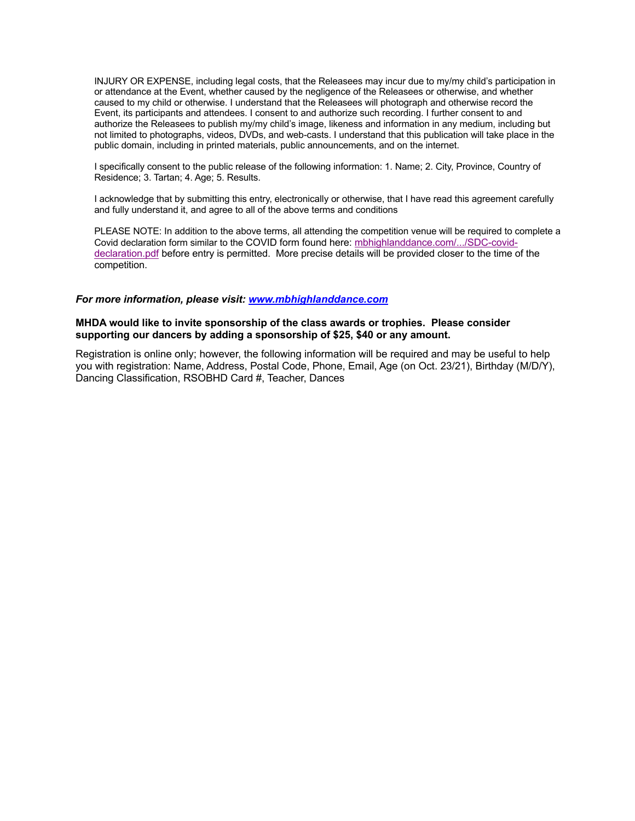INJURY OR EXPENSE, including legal costs, that the Releasees may incur due to my/my child's participation in or attendance at the Event, whether caused by the negligence of the Releasees or otherwise, and whether caused to my child or otherwise. I understand that the Releasees will photograph and otherwise record the Event, its participants and attendees. I consent to and authorize such recording. I further consent to and authorize the Releasees to publish my/my child's image, likeness and information in any medium, including but not limited to photographs, videos, DVDs, and web-casts. I understand that this publication will take place in the public domain, including in printed materials, public announcements, and on the internet.

I specifically consent to the public release of the following information: 1. Name; 2. City, Province, Country of Residence; 3. Tartan; 4. Age; 5. Results.

I acknowledge that by submitting this entry, electronically or otherwise, that I have read this agreement carefully and fully understand it, and agree to all of the above terms and conditions

PLEASE NOTE: In addition to the above terms, all attending the competition venue will be required to complete a Covid declaration form similar to the COVID form found here: mbhighlanddance.com/.../SDC-coviddeclaration.pdf before entry is permitted. More precise details will be provided closer to the time of the competition.

#### *For more information, please visit: www.mbhighlanddance.com*

#### **MHDA would like to invite sponsorship of the class awards or trophies. Please consider supporting our dancers by adding a sponsorship of \$25, \$40 or any amount.**

Registration is online only; however, the following information will be required and may be useful to help you with registration: Name, Address, Postal Code, Phone, Email, Age (on Oct. 23/21), Birthday (M/D/Y), Dancing Classification, RSOBHD Card #, Teacher, Dances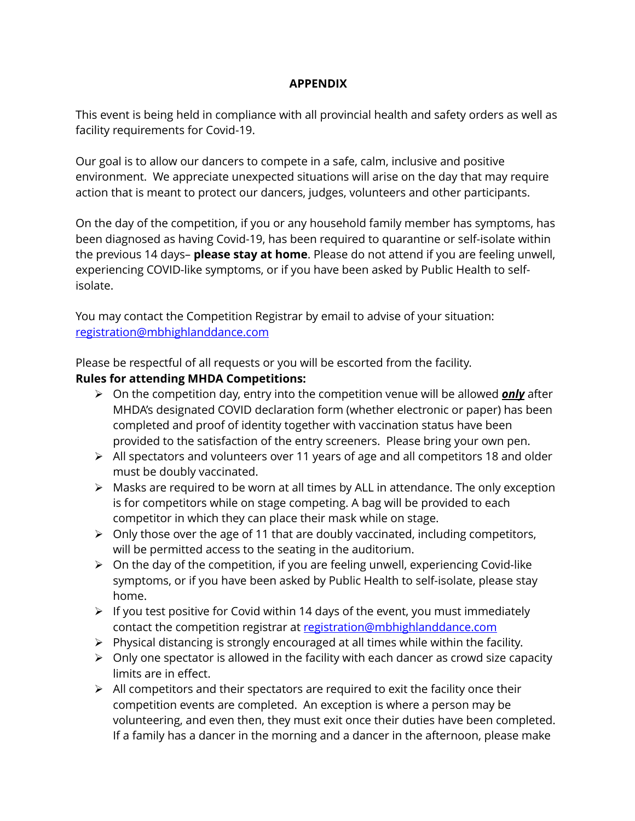# **APPENDIX**

This event is being held in compliance with all provincial health and safety orders as well as facility requirements for Covid-19.

Our goal is to allow our dancers to compete in a safe, calm, inclusive and positive environment. We appreciate unexpected situations will arise on the day that may require action that is meant to protect our dancers, judges, volunteers and other participants.

On the day of the competition, if you or any household family member has symptoms, has been diagnosed as having Covid-19, has been required to quarantine or self-isolate within the previous 14 days– **please stay at home**. Please do not attend if you are feeling unwell, experiencing COVID-like symptoms, or if you have been asked by Public Health to selfisolate.

You may contact the Competition Registrar by email to advise of your situation: registration@mbhighlanddance.com

Please be respectful of all requests or you will be escorted from the facility.

# **Rules for attending MHDA Competitions:**

- ! On the competition day, entry into the competition venue will be allowed *only* after MHDA's designated COVID declaration form (whether electronic or paper) has been completed and proof of identity together with vaccination status have been provided to the satisfaction of the entry screeners. Please bring your own pen.
- $\triangleright$  All spectators and volunteers over 11 years of age and all competitors 18 and older must be doubly vaccinated.
- $\triangleright$  Masks are required to be worn at all times by ALL in attendance. The only exception is for competitors while on stage competing. A bag will be provided to each competitor in which they can place their mask while on stage.
- $\triangleright$  Only those over the age of 11 that are doubly vaccinated, including competitors, will be permitted access to the seating in the auditorium.
- $\triangleright$  On the day of the competition, if you are feeling unwell, experiencing Covid-like symptoms, or if you have been asked by Public Health to self-isolate, please stay home.
- $\triangleright$  If you test positive for Covid within 14 days of the event, you must immediately contact the competition registrar at registration@mbhighlanddance.com
- $\triangleright$  Physical distancing is strongly encouraged at all times while within the facility.
- $\triangleright$  Only one spectator is allowed in the facility with each dancer as crowd size capacity limits are in effect.
- $\triangleright$  All competitors and their spectators are required to exit the facility once their competition events are completed. An exception is where a person may be volunteering, and even then, they must exit once their duties have been completed. If a family has a dancer in the morning and a dancer in the afternoon, please make